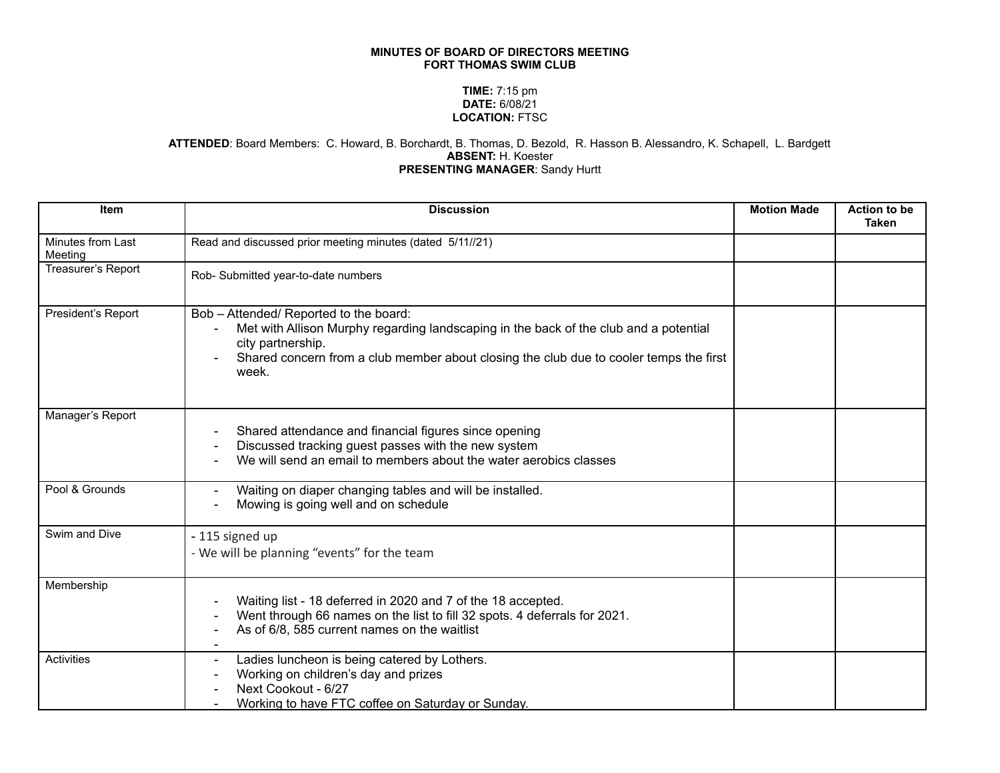## **MINUTES OF BOARD OF DIRECTORS MEETING FORT THOMAS SWIM CLUB**

## **TIME:** 7:15 pm **DATE:** 6/08/21 **LOCATION:** FTSC

## **ATTENDED**: Board Members: C. Howard, B. Borchardt, B. Thomas, D. Bezold, R. Hasson B. Alessandro, K. Schapell, L. Bardgett **ABSENT:** H. Koester **PRESENTING MANAGER**: Sandy Hurtt

| Item                         | <b>Discussion</b>                                                                                                                                                                                                                                       | <b>Motion Made</b> | <b>Action to be</b><br><b>Taken</b> |
|------------------------------|---------------------------------------------------------------------------------------------------------------------------------------------------------------------------------------------------------------------------------------------------------|--------------------|-------------------------------------|
| Minutes from Last<br>Meeting | Read and discussed prior meeting minutes (dated 5/11//21)                                                                                                                                                                                               |                    |                                     |
| Treasurer's Report           | Rob- Submitted year-to-date numbers                                                                                                                                                                                                                     |                    |                                     |
| President's Report           | Bob - Attended/ Reported to the board:<br>Met with Allison Murphy regarding landscaping in the back of the club and a potential<br>city partnership.<br>Shared concern from a club member about closing the club due to cooler temps the first<br>week. |                    |                                     |
| Manager's Report             | Shared attendance and financial figures since opening<br>Discussed tracking guest passes with the new system<br>We will send an email to members about the water aerobics classes                                                                       |                    |                                     |
| Pool & Grounds               | Waiting on diaper changing tables and will be installed.<br>Mowing is going well and on schedule                                                                                                                                                        |                    |                                     |
| Swim and Dive                | - 115 signed up<br>- We will be planning "events" for the team                                                                                                                                                                                          |                    |                                     |
| Membership                   | Waiting list - 18 deferred in 2020 and 7 of the 18 accepted.<br>Went through 66 names on the list to fill 32 spots. 4 deferrals for 2021.<br>As of 6/8, 585 current names on the waitlist                                                               |                    |                                     |
| Activities                   | Ladies luncheon is being catered by Lothers.<br>Working on children's day and prizes<br>Next Cookout - 6/27<br>Working to have FTC coffee on Saturday or Sunday.                                                                                        |                    |                                     |